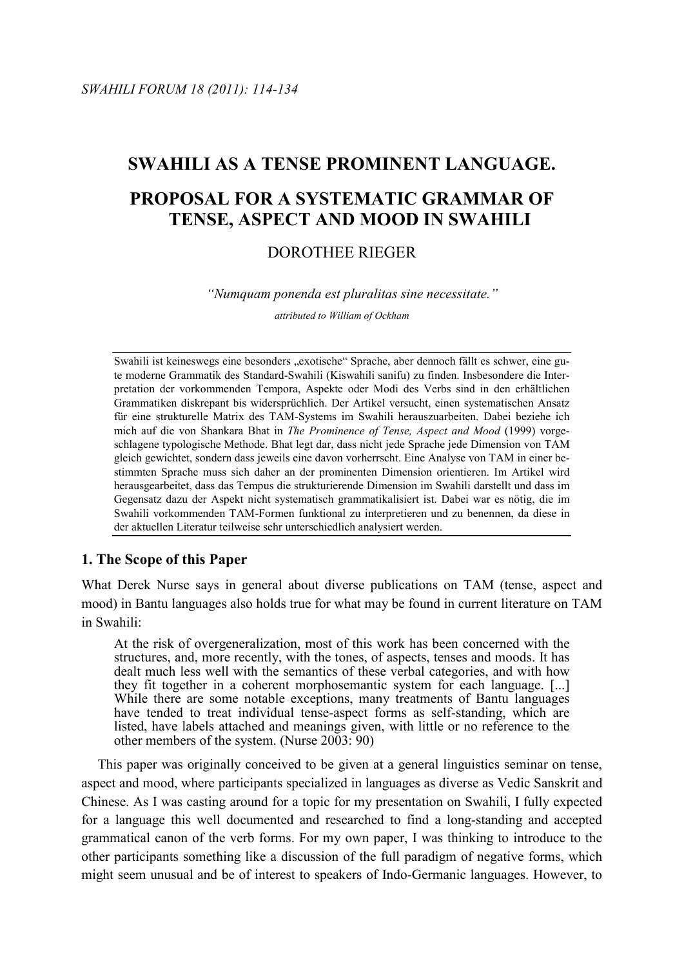# **SWAHILI AS A TENSE PROMINENT LANGUAGE. PROPOSAL FOR A SYSTEMATIC GRAMMAR OF TENSE, ASPECT AND MOOD IN SWAHILI**

# DOROTHEE RIEGER

*"Numquam ponenda est pluralitas sine necessitate."*

*attributed to William of Ockham*

Swahili ist keineswegs eine besonders "exotische" Sprache, aber dennoch fällt es schwer, eine gute moderne Grammatik des Standard-Swahili (Kiswahili sanifu) zu finden. Insbesondere die Interpretation der vorkommenden Tempora, Aspekte oder Modi des Verbs sind in den erhältlichen Grammatiken diskrepant bis widersprüchlich. Der Artikel versucht, einen systematischen Ansatz für eine strukturelle Matrix des TAM-Systems im Swahili herauszuarbeiten. Dabei beziehe ich mich auf die von Shankara Bhat in *The Prominence of Tense, Aspect and Mood* (1999) vorgeschlagene typologische Methode. Bhat legt dar, dass nicht jede Sprache jede Dimension von TAM gleich gewichtet, sondern dass jeweils eine davon vorherrscht. Eine Analyse von TAM in einer bestimmten Sprache muss sich daher an der prominenten Dimension orientieren. Im Artikel wird herausgearbeitet, dass das Tempus die strukturierende Dimension im Swahili darstellt und dass im Gegensatz dazu der Aspekt nicht systematisch grammatikalisiert ist. Dabei war es nötig, die im Swahili vorkommenden TAM-Formen funktional zu interpretieren und zu benennen, da diese in der aktuellen Literatur teilweise sehr unterschiedlich analysiert werden.

# **1. The Scope of this Paper**

What Derek Nurse says in general about diverse publications on TAM (tense, aspect and mood) in Bantu languages also holds true for what may be found in current literature on TAM in Swahili:

At the risk of overgeneralization, most of this work has been concerned with the structures, and, more recently, with the tones, of aspects, tenses and moods. It has dealt much less well with the semantics of these verbal categories, and with how they fit together in a coherent morphosemantic system for each language. [...] While there are some notable exceptions, many treatments of Bantu languages have tended to treat individual tense-aspect forms as self-standing, which are listed, have labels attached and meanings given, with little or no reference to the other members of the system. (Nurse 2003: 90)

This paper was originally conceived to be given at a general linguistics seminar on tense, aspect and mood, where participants specialized in languages as diverse as Vedic Sanskrit and Chinese. As I was casting around for a topic for my presentation on Swahili, I fully expected for a language this well documented and researched to find a long-standing and accepted grammatical canon of the verb forms. For my own paper, I was thinking to introduce to the other participants something like a discussion of the full paradigm of negative forms, which might seem unusual and be of interest to speakers of Indo-Germanic languages. However, to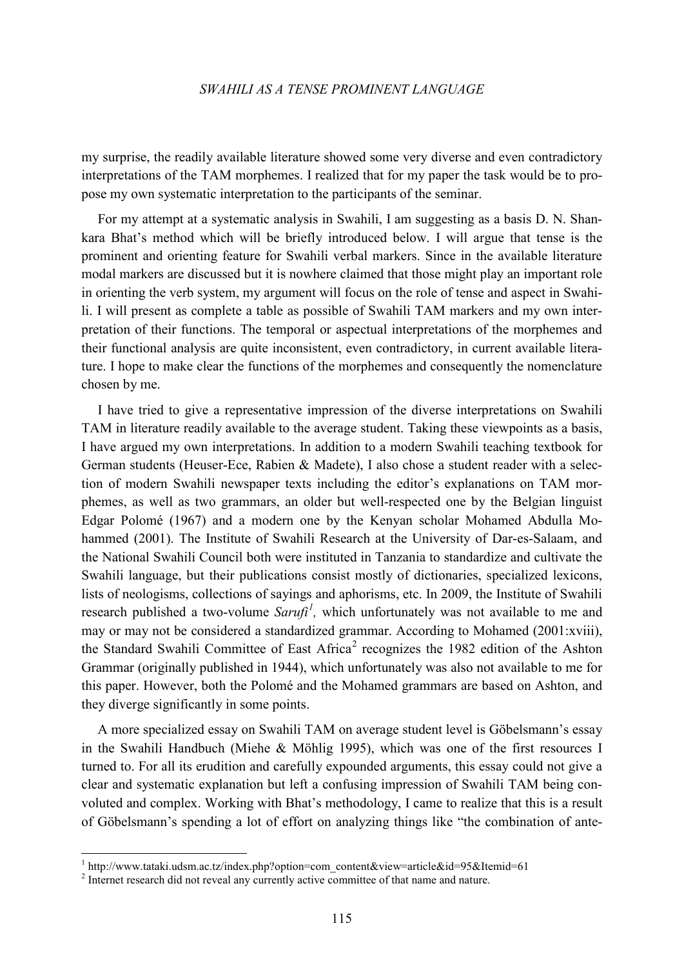my surprise, the readily available literature showed some very diverse and even contradictory interpretations of the TAM morphemes. I realized that for my paper the task would be to propose my own systematic interpretation to the participants of the seminar.

For my attempt at a systematic analysis in Swahili, I am suggesting as a basis D. N. Shankara Bhat's method which will be briefly introduced below. I will argue that tense is the prominent and orienting feature for Swahili verbal markers. Since in the available literature modal markers are discussed but it is nowhere claimed that those might play an important role in orienting the verb system, my argument will focus on the role of tense and aspect in Swahili. I will present as complete a table as possible of Swahili TAM markers and my own interpretation of their functions. The temporal or aspectual interpretations of the morphemes and their functional analysis are quite inconsistent, even contradictory, in current available literature. I hope to make clear the functions of the morphemes and consequently the nomenclature chosen by me.

I have tried to give a representative impression of the diverse interpretations on Swahili TAM in literature readily available to the average student. Taking these viewpoints as a basis, I have argued my own interpretations. In addition to a modern Swahili teaching textbook for German students (Heuser-Ece, Rabien & Madete), I also chose a student reader with a selection of modern Swahili newspaper texts including the editor's explanations on TAM morphemes, as well as two grammars, an older but well-respected one by the Belgian linguist Edgar Polomé (1967) and a modern one by the Kenyan scholar Mohamed Abdulla Mohammed (2001). The Institute of Swahili Research at the University of Dar-es-Salaam, and the National Swahili Council both were instituted in Tanzania to standardize and cultivate the Swahili language, but their publications consist mostly of dictionaries, specialized lexicons, lists of neologisms, collections of sayings and aphorisms, etc. In 2009, the Institute of Swahili research published a two-volume *Sarufi<sup>[1](#page-1-0)</sup>*, which unfortunately was not available to me and may or may not be considered a standardized grammar. According to Mohamed (2001:xviii), the Standard Swahili Committee of East Africa<sup>[2](#page-1-1)</sup> recognizes the 1982 edition of the Ashton Grammar (originally published in 1944), which unfortunately was also not available to me for this paper. However, both the Polomé and the Mohamed grammars are based on Ashton, and they diverge significantly in some points.

A more specialized essay on Swahili TAM on average student level is Göbelsmann's essay in the Swahili Handbuch (Miehe & Möhlig 1995), which was one of the first resources I turned to. For all its erudition and carefully expounded arguments, this essay could not give a clear and systematic explanation but left a confusing impression of Swahili TAM being convoluted and complex. Working with Bhat's methodology, I came to realize that this is a result of Göbelsmann's spending a lot of effort on analyzing things like "the combination of ante-

 <sup>1</sup> http://www.tataki.udsm.ac.tz/index.php?option=com\_content&view=article&id=95&Itemid=61

<span id="page-1-1"></span><span id="page-1-0"></span><sup>&</sup>lt;sup>2</sup> Internet research did not reveal any currently active committee of that name and nature.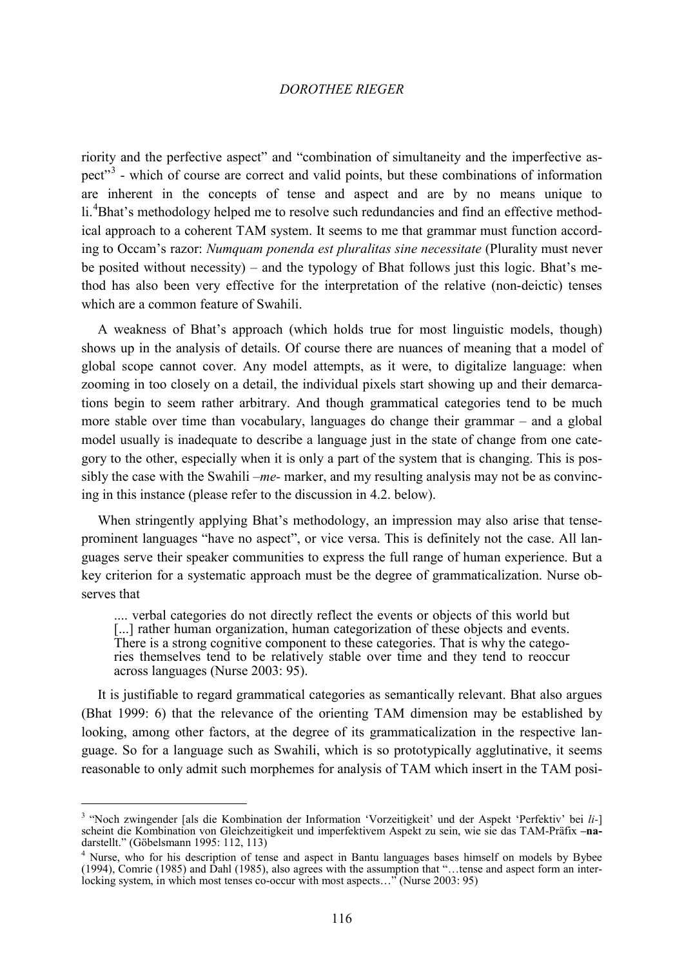riority and the perfective aspect" and "combination of simultaneity and the imperfective aspect"[3](#page-2-0) - which of course are correct and valid points, but these combinations of information are inherent in the concepts of tense and aspect and are by no means unique to li.<sup>[4](#page-2-1)</sup>Bhat's methodology helped me to resolve such redundancies and find an effective methodical approach to a coherent TAM system. It seems to me that grammar must function according to Occam's razor: *Numquam ponenda est pluralitas sine necessitate* (Plurality must never be posited without necessity) – and the typology of Bhat follows just this logic. Bhat's method has also been very effective for the interpretation of the relative (non-deictic) tenses which are a common feature of Swahili.

A weakness of Bhat's approach (which holds true for most linguistic models, though) shows up in the analysis of details. Of course there are nuances of meaning that a model of global scope cannot cover. Any model attempts, as it were, to digitalize language: when zooming in too closely on a detail, the individual pixels start showing up and their demarcations begin to seem rather arbitrary. And though grammatical categories tend to be much more stable over time than vocabulary, languages do change their grammar – and a global model usually is inadequate to describe a language just in the state of change from one category to the other, especially when it is only a part of the system that is changing. This is possibly the case with the Swahili *–me-* marker, and my resulting analysis may not be as convincing in this instance (please refer to the discussion in 4.2. below).

When stringently applying Bhat's methodology, an impression may also arise that tenseprominent languages "have no aspect", or vice versa. This is definitely not the case. All languages serve their speaker communities to express the full range of human experience. But a key criterion for a systematic approach must be the degree of grammaticalization. Nurse observes that

.... verbal categories do not directly reflect the events or objects of this world but [...] rather human organization, human categorization of these objects and events. There is a strong cognitive component to these categories. That is why the categories themselves tend to be relatively stable over time and they tend to reoccur across languages (Nurse 2003: 95).

It is justifiable to regard grammatical categories as semantically relevant. Bhat also argues (Bhat 1999: 6) that the relevance of the orienting TAM dimension may be established by looking, among other factors, at the degree of its grammaticalization in the respective language. So for a language such as Swahili, which is so prototypically agglutinative, it seems reasonable to only admit such morphemes for analysis of TAM which insert in the TAM posi-

<span id="page-2-0"></span> <sup>3</sup> "Noch zwingender [als die Kombination der Information 'Vorzeitigkeit' und der Aspekt 'Perfektiv' bei *li-*] scheint die Kombination von Gleichzeitigkeit und imperfektivem Aspekt zu sein, wie sie das TAM-Präfix **–na**darstellt." (Göbelsmann 1995: 112, 113)<br> $\frac{4}{3}$  Nurse, who for his description of tense and aspect in Bantu languages bases himself on models by Bybee

<span id="page-2-1"></span><sup>(1994),</sup> Comrie (1985) and Dahl (1985), also agrees with the assumption that "…tense and aspect form an interlocking system, in which most tenses co-occur with most aspects..." (Nurse 2003: 95)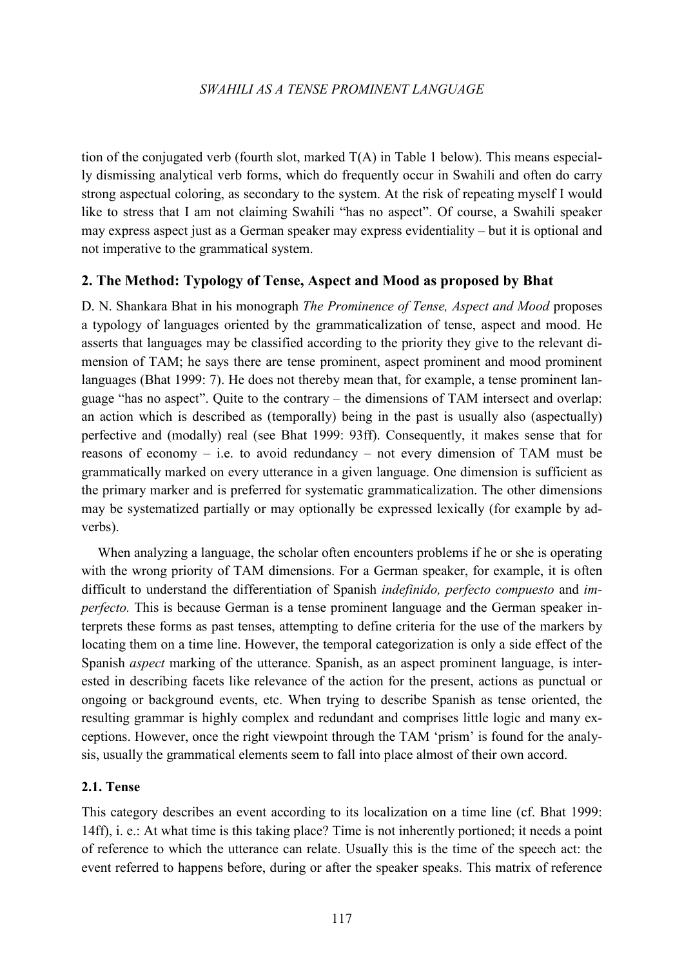tion of the conjugated verb (fourth slot, marked  $T(A)$  in Table 1 below). This means especially dismissing analytical verb forms, which do frequently occur in Swahili and often do carry strong aspectual coloring, as secondary to the system. At the risk of repeating myself I would like to stress that I am not claiming Swahili "has no aspect". Of course, a Swahili speaker may express aspect just as a German speaker may express evidentiality – but it is optional and not imperative to the grammatical system.

# **2. The Method: Typology of Tense, Aspect and Mood as proposed by Bhat**

D. N. Shankara Bhat in his monograph *The Prominence of Tense, Aspect and Mood* proposes a typology of languages oriented by the grammaticalization of tense, aspect and mood. He asserts that languages may be classified according to the priority they give to the relevant dimension of TAM; he says there are tense prominent, aspect prominent and mood prominent languages (Bhat 1999: 7). He does not thereby mean that, for example, a tense prominent language "has no aspect". Quite to the contrary – the dimensions of TAM intersect and overlap: an action which is described as (temporally) being in the past is usually also (aspectually) perfective and (modally) real (see Bhat 1999: 93ff). Consequently, it makes sense that for reasons of economy – i.e. to avoid redundancy – not every dimension of TAM must be grammatically marked on every utterance in a given language. One dimension is sufficient as the primary marker and is preferred for systematic grammaticalization. The other dimensions may be systematized partially or may optionally be expressed lexically (for example by adverbs).

When analyzing a language, the scholar often encounters problems if he or she is operating with the wrong priority of TAM dimensions. For a German speaker, for example, it is often difficult to understand the differentiation of Spanish *indefinido, perfecto compuesto* and *imperfecto.* This is because German is a tense prominent language and the German speaker interprets these forms as past tenses, attempting to define criteria for the use of the markers by locating them on a time line. However, the temporal categorization is only a side effect of the Spanish *aspect* marking of the utterance. Spanish, as an aspect prominent language, is interested in describing facets like relevance of the action for the present, actions as punctual or ongoing or background events, etc. When trying to describe Spanish as tense oriented, the resulting grammar is highly complex and redundant and comprises little logic and many exceptions. However, once the right viewpoint through the TAM 'prism' is found for the analysis, usually the grammatical elements seem to fall into place almost of their own accord.

## **2.1. Tense**

This category describes an event according to its localization on a time line (cf. Bhat 1999: 14ff), i. e.: At what time is this taking place? Time is not inherently portioned; it needs a point of reference to which the utterance can relate. Usually this is the time of the speech act: the event referred to happens before, during or after the speaker speaks. This matrix of reference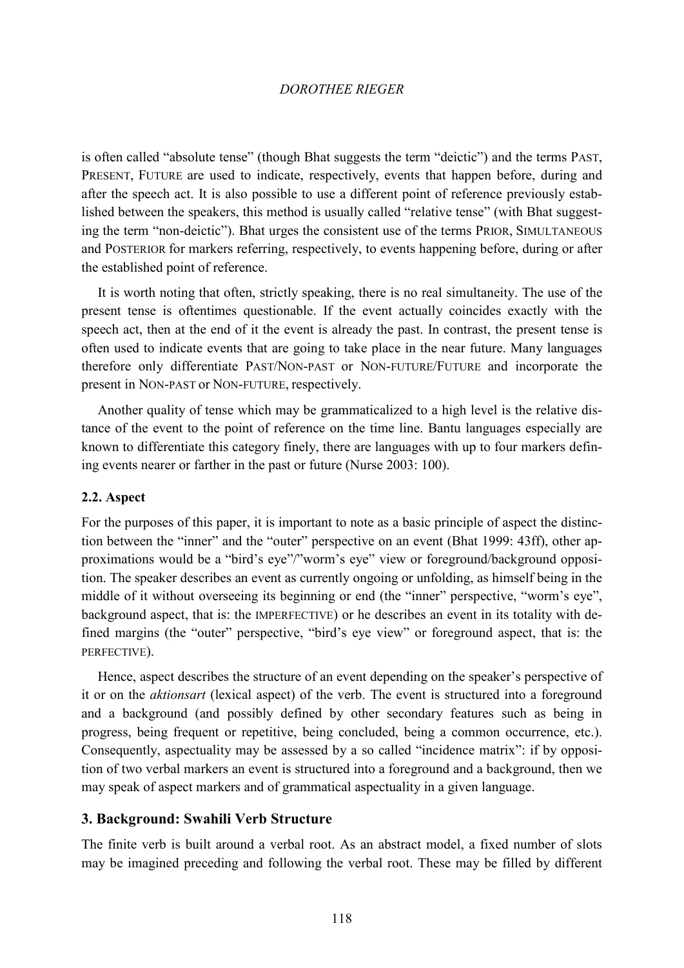is often called "absolute tense" (though Bhat suggests the term "deictic") and the terms PAST, PRESENT, FUTURE are used to indicate, respectively, events that happen before, during and after the speech act. It is also possible to use a different point of reference previously established between the speakers, this method is usually called "relative tense" (with Bhat suggesting the term "non-deictic"). Bhat urges the consistent use of the terms PRIOR, SIMULTANEOUS and POSTERIOR for markers referring, respectively, to events happening before, during or after the established point of reference.

It is worth noting that often, strictly speaking, there is no real simultaneity. The use of the present tense is oftentimes questionable. If the event actually coincides exactly with the speech act, then at the end of it the event is already the past. In contrast, the present tense is often used to indicate events that are going to take place in the near future. Many languages therefore only differentiate PAST/NON-PAST or NON-FUTURE/FUTURE and incorporate the present in NON-PAST or NON-FUTURE, respectively.

Another quality of tense which may be grammaticalized to a high level is the relative distance of the event to the point of reference on the time line. Bantu languages especially are known to differentiate this category finely, there are languages with up to four markers defining events nearer or farther in the past or future (Nurse 2003: 100).

#### **2.2. Aspect**

For the purposes of this paper, it is important to note as a basic principle of aspect the distinction between the "inner" and the "outer" perspective on an event (Bhat 1999: 43ff), other approximations would be a "bird's eye"/"worm's eye" view or foreground/background opposition. The speaker describes an event as currently ongoing or unfolding, as himself being in the middle of it without overseeing its beginning or end (the "inner" perspective, "worm's eye", background aspect, that is: the IMPERFECTIVE) or he describes an event in its totality with defined margins (the "outer" perspective, "bird's eye view" or foreground aspect, that is: the PERFECTIVE).

Hence, aspect describes the structure of an event depending on the speaker's perspective of it or on the *aktionsart* (lexical aspect) of the verb. The event is structured into a foreground and a background (and possibly defined by other secondary features such as being in progress, being frequent or repetitive, being concluded, being a common occurrence, etc.). Consequently, aspectuality may be assessed by a so called "incidence matrix": if by opposition of two verbal markers an event is structured into a foreground and a background, then we may speak of aspect markers and of grammatical aspectuality in a given language.

## **3. Background: Swahili Verb Structure**

The finite verb is built around a verbal root. As an abstract model, a fixed number of slots may be imagined preceding and following the verbal root. These may be filled by different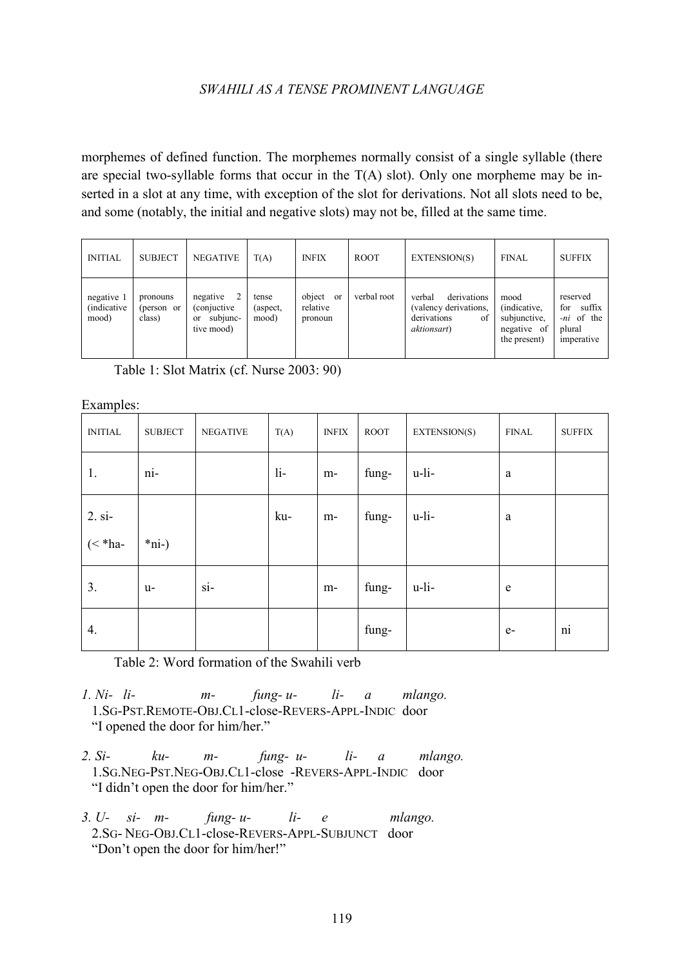morphemes of defined function. The morphemes normally consist of a single syllable (there are special two-syllable forms that occur in the  $T(A)$  slot). Only one morpheme may be inserted in a slot at any time, with exception of the slot for derivations. Not all slots need to be, and some (notably, the initial and negative slots) may not be, filled at the same time.

| <b>INITIAL</b>                             | <b>SUBJECT</b>                   | <b>NEGATIVE</b>                                                          | T(A)                       | <b>INFIX</b>                        | <b>ROOT</b> | EXTENSION(S)                                                                               | <b>FINAL</b>                                                        | <b>SUFFIX</b>                                                          |
|--------------------------------------------|----------------------------------|--------------------------------------------------------------------------|----------------------------|-------------------------------------|-------------|--------------------------------------------------------------------------------------------|---------------------------------------------------------------------|------------------------------------------------------------------------|
| negative 1<br><i>(indicative)</i><br>mood) | pronouns<br>(person or<br>class) | 2<br>negative<br>(conjuctive)<br>subjunc-<br><sub>or</sub><br>tive mood) | tense<br>(aspect,<br>mood) | object<br>or<br>relative<br>pronoun | verbal root | verbal<br>derivations<br>(valency derivations,<br>derivations<br>of<br><i>aktionsart</i> ) | mood<br>(indicative,<br>subjunctive,<br>negative of<br>the present) | reserved<br>suffix<br>for<br><i>-ni</i> of the<br>plural<br>imperative |

Table 1: Slot Matrix (cf. Nurse 2003: 90)

Examples:

| л.<br><b>INITIAL</b> | <b>SUBJECT</b> | <b>NEGATIVE</b> | T(A)  | <b>INFIX</b> | <b>ROOT</b> | EXTENSION(S) | <b>FINAL</b> | <b>SUFFIX</b> |
|----------------------|----------------|-----------------|-------|--------------|-------------|--------------|--------------|---------------|
| 1.                   | ni-            |                 | $li-$ | m-           | fung-       | u-li-        | a            |               |
| $2. \text{si}$       |                |                 | ku-   | m-           | fung-       | $u$ -li-     | a            |               |
| $(*ha-$              | $*ni-)$        |                 |       |              |             |              |              |               |
| 3.                   | u-             | $si$ -          |       | m-           | fung-       | u-li-        | e            |               |
| 4.                   |                |                 |       |              | fung-       |              | $e-$         | ni            |

Table 2: Word formation of the Swahili verb

- *1. Ni- li- m- fung- u- li- a mlango.* 1.SG-PST.REMOTE-OBJ.CL1-close-REVERS-APPL-INDIC door "I opened the door for him/her."
- *2. Si- ku- m- fung- u- li- a mlango.* 1.SG.NEG-PST.NEG-OBJ.CL1-close -REVERS-APPL-INDIC door "I didn't open the door for him/her."
- *3. U- si- m- fung- u- li- e mlango.* 2.SG- NEG-OBJ.CL1-close-REVERS-APPL-SUBJUNCT door "Don't open the door for him/her!"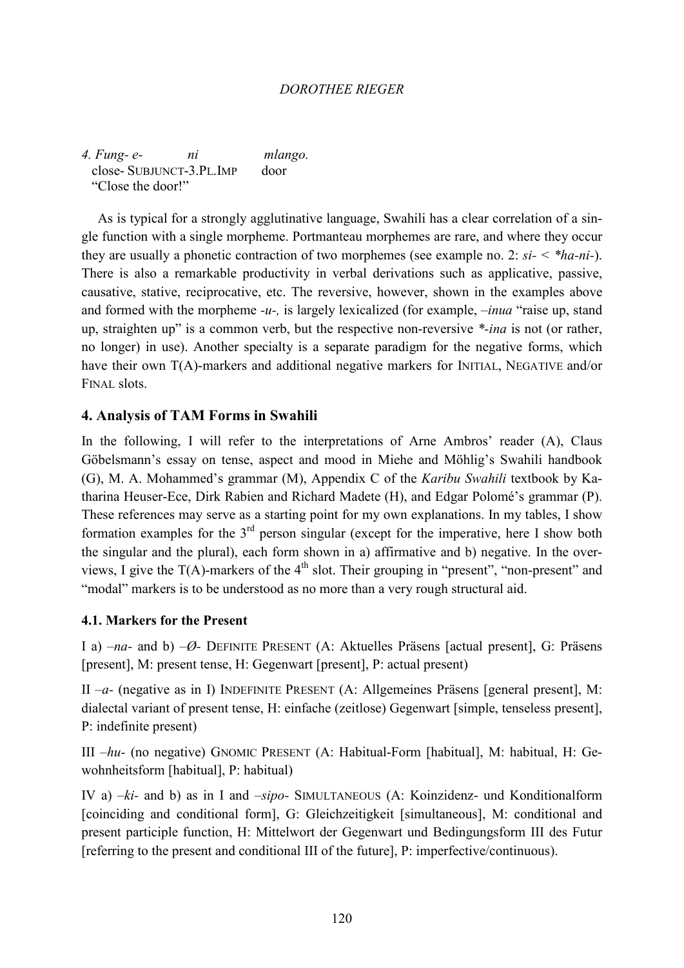*4. Fung- e- ni mlango.* close- SUBJUNCT-3.PL.IMP door "Close the door!"

As is typical for a strongly agglutinative language, Swahili has a clear correlation of a single function with a single morpheme. Portmanteau morphemes are rare, and where they occur they are usually a phonetic contraction of two morphemes (see example no. 2: *si- < \*ha-ni-*). There is also a remarkable productivity in verbal derivations such as applicative, passive, causative, stative, reciprocative, etc. The reversive, however, shown in the examples above and formed with the morpheme *-u-,* is largely lexicalized (for example, *–inua* "raise up, stand up, straighten up" is a common verb, but the respective non-reversive *\*-ina* is not (or rather, no longer) in use). Another specialty is a separate paradigm for the negative forms, which have their own T(A)-markers and additional negative markers for INITIAL, NEGATIVE and/or FINAL slots.

# **4. Analysis of TAM Forms in Swahili**

In the following, I will refer to the interpretations of Arne Ambros' reader (A), Claus Göbelsmann's essay on tense, aspect and mood in Miehe and Möhlig's Swahili handbook (G), M. A. Mohammed's grammar (M), Appendix C of the *Karibu Swahili* textbook by Katharina Heuser-Ece, Dirk Rabien and Richard Madete (H), and Edgar Polomé's grammar (P). These references may serve as a starting point for my own explanations. In my tables, I show formation examples for the  $3<sup>rd</sup>$  person singular (except for the imperative, here I show both the singular and the plural), each form shown in a) affirmative and b) negative. In the overviews, I give the  $T(A)$ -markers of the  $4<sup>th</sup>$  slot. Their grouping in "present", "non-present" and "modal" markers is to be understood as no more than a very rough structural aid.

# **4.1. Markers for the Present**

I a) *–na-* and b) *–Ø-* DEFINITE PRESENT (A: Aktuelles Präsens [actual present], G: Präsens [present], M: present tense, H: Gegenwart [present], P: actual present)

II *–a-* (negative as in I) INDEFINITE PRESENT (A: Allgemeines Präsens [general present], M: dialectal variant of present tense, H: einfache (zeitlose) Gegenwart [simple, tenseless present], P: indefinite present)

III *–hu-* (no negative) GNOMIC PRESENT (A: Habitual-Form [habitual], M: habitual, H: Gewohnheitsform [habitual], P: habitual)

IV a) *–ki-* and b) as in I and *–sipo-* SIMULTANEOUS (A: Koinzidenz- und Konditionalform [coinciding and conditional form], G: Gleichzeitigkeit [simultaneous], M: conditional and present participle function, H: Mittelwort der Gegenwart und Bedingungsform III des Futur [referring to the present and conditional III of the future], P: imperfective/continuous).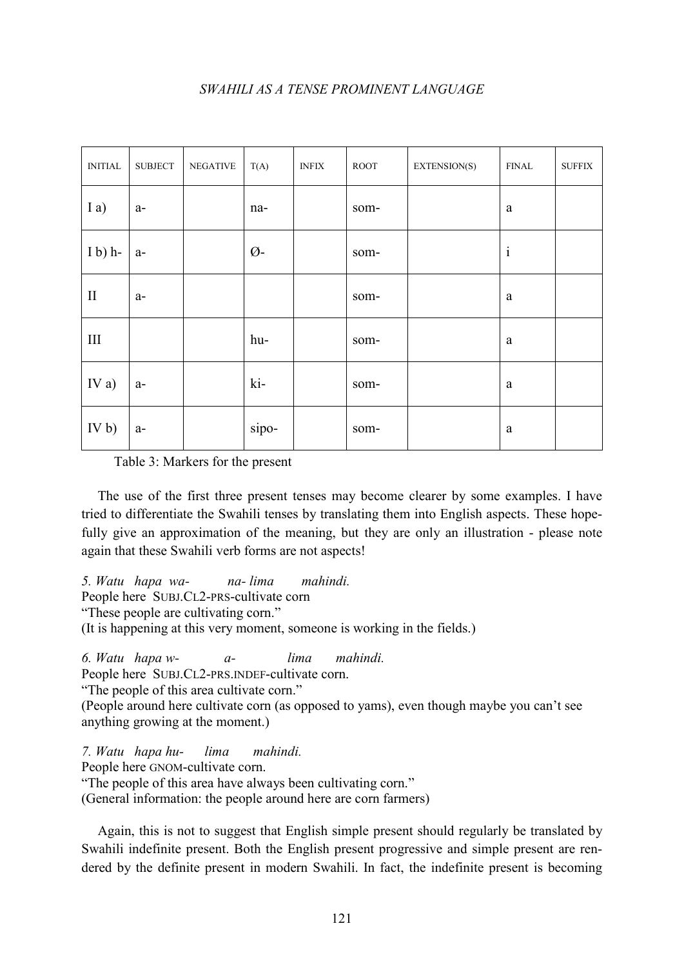| <b>INITIAL</b>  | <b>SUBJECT</b> | <b>NEGATIVE</b> | T(A)          | <b>INFIX</b> | ROOT | EXTENSION(S) | <b>FINAL</b> | <b>SUFFIX</b> |
|-----------------|----------------|-----------------|---------------|--------------|------|--------------|--------------|---------------|
| I a)            | $a-$           |                 | na-           |              | som- |              | $\rm{a}$     |               |
| $I b$ ) h-      | $a-$           |                 | $\emptyset$ - |              | som- |              | $\rm i$      |               |
| $\prod$         | $a-$           |                 |               |              | som- |              | $\rm{a}$     |               |
| $\rm III$       |                |                 | hu-           |              | som- |              | $\rm{a}$     |               |
| IV a)           | $a-$           |                 | ki-           |              | som- |              | $\rm{a}$     |               |
| IV <sub>b</sub> | $a-$           |                 | sipo-         |              | som- |              | a            |               |

Table 3: Markers for the present

The use of the first three present tenses may become clearer by some examples. I have tried to differentiate the Swahili tenses by translating them into English aspects. These hopefully give an approximation of the meaning, but they are only an illustration - please note again that these Swahili verb forms are not aspects!

*5. Watu hapa wa- na- lima mahindi.* People here SUBJ.CL2-PRS-cultivate corn "These people are cultivating corn."

(It is happening at this very moment, someone is working in the fields.)

*6. Watu hapa w- a- lima mahindi.*

People here SUBJ.CL2-PRS.INDEF-cultivate corn.

"The people of this area cultivate corn."

(People around here cultivate corn (as opposed to yams), even though maybe you can't see anything growing at the moment.)

*7. Watu hapa hu- lima mahindi.*

People here GNOM-cultivate corn.

"The people of this area have always been cultivating corn."

(General information: the people around here are corn farmers)

Again, this is not to suggest that English simple present should regularly be translated by Swahili indefinite present. Both the English present progressive and simple present are rendered by the definite present in modern Swahili. In fact, the indefinite present is becoming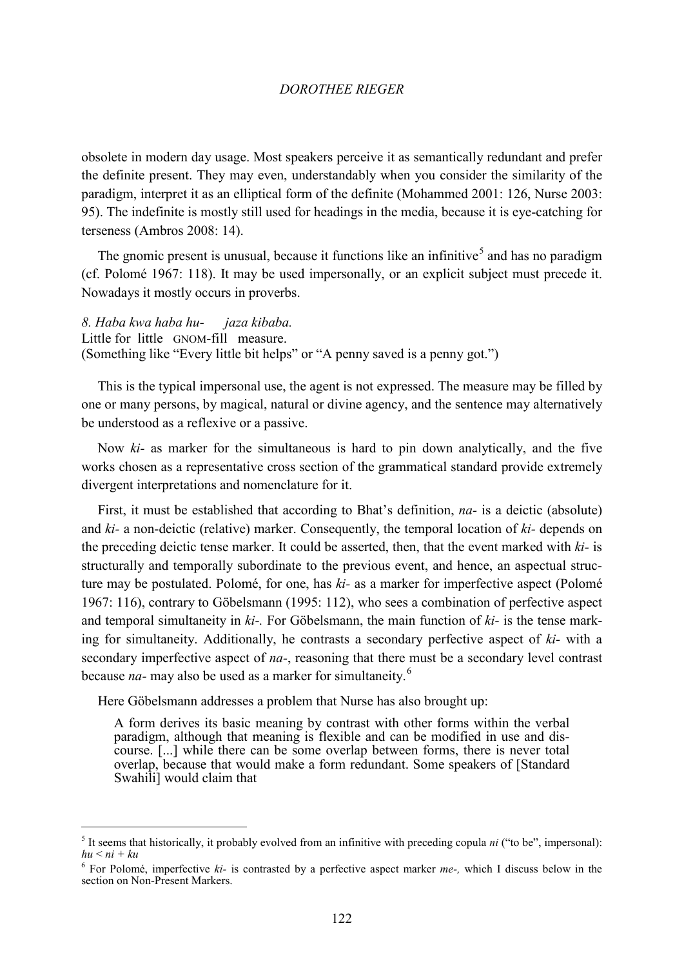obsolete in modern day usage. Most speakers perceive it as semantically redundant and prefer the definite present. They may even, understandably when you consider the similarity of the paradigm, interpret it as an elliptical form of the definite (Mohammed 2001: 126, Nurse 2003: 95). The indefinite is mostly still used for headings in the media, because it is eye-catching for terseness (Ambros 2008: 14).

The gnomic present is unusual, because it functions like an infinitive<sup>[5](#page-8-0)</sup> and has no paradigm (cf. Polomé 1967: 118). It may be used impersonally, or an explicit subject must precede it. Nowadays it mostly occurs in proverbs.

*8. Haba kwa haba hu- jaza kibaba.* Little for little GNOM-fill measure. (Something like "Every little bit helps" or "A penny saved is a penny got.")

This is the typical impersonal use, the agent is not expressed. The measure may be filled by one or many persons, by magical, natural or divine agency, and the sentence may alternatively be understood as a reflexive or a passive.

Now *ki-* as marker for the simultaneous is hard to pin down analytically, and the five works chosen as a representative cross section of the grammatical standard provide extremely divergent interpretations and nomenclature for it.

First, it must be established that according to Bhat's definition, *na-* is a deictic (absolute) and *ki-* a non-deictic (relative) marker. Consequently, the temporal location of *ki-* depends on the preceding deictic tense marker. It could be asserted, then, that the event marked with *ki-* is structurally and temporally subordinate to the previous event, and hence, an aspectual structure may be postulated. Polomé, for one, has *ki-* as a marker for imperfective aspect (Polomé 1967: 116), contrary to Göbelsmann (1995: 112), who sees a combination of perfective aspect and temporal simultaneity in *ki-.* For Göbelsmann, the main function of *ki-* is the tense marking for simultaneity. Additionally, he contrasts a secondary perfective aspect of *ki-* with a secondary imperfective aspect of *na-*, reasoning that there must be a secondary level contrast because *na-* may also be used as a marker for simultaneity.[6](#page-8-1)

Here Göbelsmann addresses a problem that Nurse has also brought up:

A form derives its basic meaning by contrast with other forms within the verbal paradigm, although that meaning is flexible and can be modified in use and discourse. [...] while there can be some overlap between forms, there is never total overlap, because that would make a form redundant. Some speakers of [Standard Swahili] would claim that

<span id="page-8-0"></span> $<sup>5</sup>$  It seems that historically, it probably evolved from an infinitive with preceding copula *ni* ("to be", impersonal):</sup> *hu* < *ni + ku*

<span id="page-8-1"></span><sup>6</sup> For Polomé, imperfective *ki-* is contrasted by a perfective aspect marker *me-,* which I discuss below in the section on Non-Present Markers.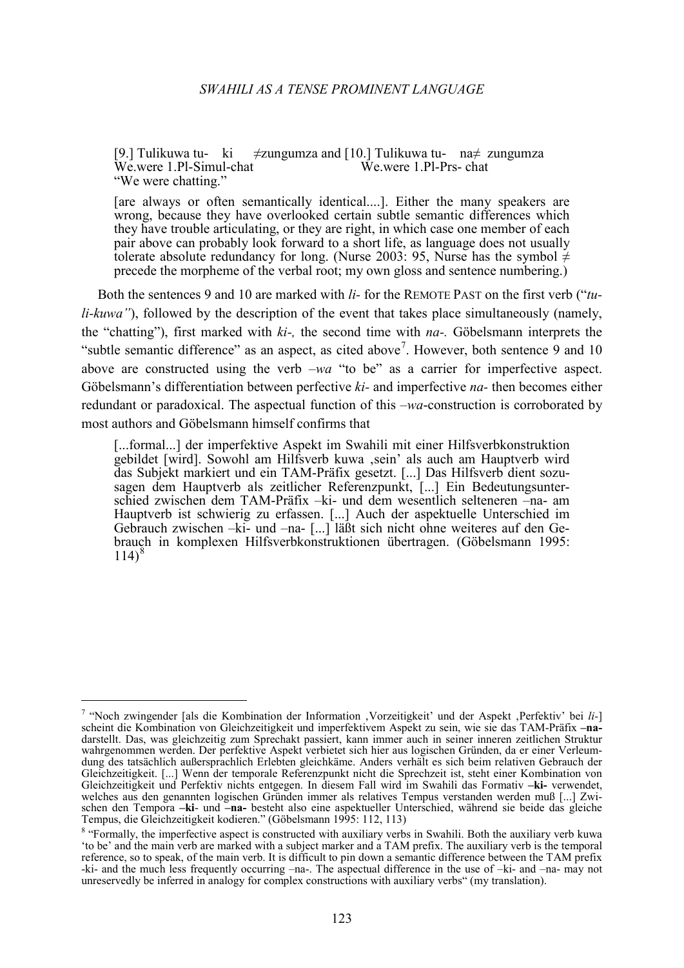[9.] Tulikuwa tu- ki  $\neq$ zungumza and [10.] Tulikuwa tu- na $\neq$  zungumza Wewere 1.Pl-Simul-chat Wewere 1.Pl-Prs-chat  $We were 1.P1-Simul-chat$ "We were chatting."

[are always or often semantically identical....]. Either the many speakers are wrong, because they have overlooked certain subtle semantic differences which they have trouble articulating, or they are right, in which case one member of each pair above can probably look forward to a short life, as language does not usually tolerate absolute redundancy for long. (Nurse 2003: 95, Nurse has the symbol  $\neq$ precede the morpheme of the verbal root; my own gloss and sentence numbering.)

Both the sentences 9 and 10 are marked with *li-* for the REMOTE PAST on the first verb ("*tuli-kuwa"*), followed by the description of the event that takes place simultaneously (namely, the "chatting"), first marked with *ki-,* the second time with *na-.* Göbelsmann interprets the "subtle semantic difference" as an aspect, as cited above<sup>[7](#page-9-0)</sup>. However, both sentence 9 and 10 above are constructed using the verb *–wa* "to be" as a carrier for imperfective aspect. Göbelsmann's differentiation between perfective *ki-* and imperfective *na-* then becomes either redundant or paradoxical. The aspectual function of this *–wa*-construction is corroborated by most authors and Göbelsmann himself confirms that

[...formal...] der imperfektive Aspekt im Swahili mit einer Hilfsverbkonstruktion gebildet [wird]. Sowohl am Hilfsverb kuwa ,sein' als auch am Hauptverb wird das Subjekt markiert und ein TAM-Präfix gesetzt. [...] Das Hilfsverb dient sozusagen dem Hauptverb als zeitlicher Referenzpunkt, [...] Ein Bedeutungsunterschied zwischen dem TAM-Präfix –ki- und dem wesentlich selteneren –na- am Hauptverb ist schwierig zu erfassen. [...] Auch der aspektuelle Unterschied im Gebrauch zwischen –ki- und –na- [...] läßt sich nicht ohne weiteres auf den Gebrauch in komplexen Hilfsverbkonstruktionen übertragen. (Göbelsmann 1995:  $114)^{8}$  $114)^{8}$  $114)^{8}$ 

<span id="page-9-0"></span> <sup>7</sup> "Noch zwingender [als die Kombination der Information 'Vorzeitigkeit' und der Aspekt 'Perfektiv' bei *li-*] scheint die Kombination von Gleichzeitigkeit und imperfektivem Aspekt zu sein, wie sie das TAM-Präfix **–na**darstellt. Das, was gleichzeitig zum Sprechakt passiert, kann immer auch in seiner inneren zeitlichen Struktur wahrgenommen werden. Der perfektive Aspekt verbietet sich hier aus logischen Gründen, da er einer Verleumdung des tatsächlich außersprachlich Erlebten gleichkäme. Anders verhält es sich beim relativen Gebrauch der Gleichzeitigkeit. [...] Wenn der temporale Referenzpunkt nicht die Sprechzeit ist, steht einer Kombination von Gleichzeitigkeit und Perfektiv nichts entgegen. In diesem Fall wird im Swahili das Formativ **–ki-** verwendet, welches aus den genannten logischen Gründen immer als relatives Tempus verstanden werden muß [...] Zwischen den Tempora –**ki**- und –**na**- besteht also eine aspektueller Unterschied, während sie beide das gleiche Tempus, die Gleichzeitigkeit kodieren." (Göbelsmann 1995: 112, 113) Tempus, die Gleichzeitigkeit kodieren." (Göbelsmann 1995: 112, 113)<br><sup>8</sup> "Formally, the imperfective aspect is constructed with auxiliary verbs in Swahili. Both the auxiliary verb kuwa

<span id="page-9-1"></span><sup>&#</sup>x27;to be' and the main verb are marked with a subject marker and a TAM prefix. The auxiliary verb is the temporal reference, so to speak, of the main verb. It is difficult to pin down a semantic difference between the TAM prefix -ki- and the much less frequently occurring –na-. The aspectual difference in the use of –ki- and –na- may not unreservedly be inferred in analogy for complex constructions with auxiliary verbs" (my translation).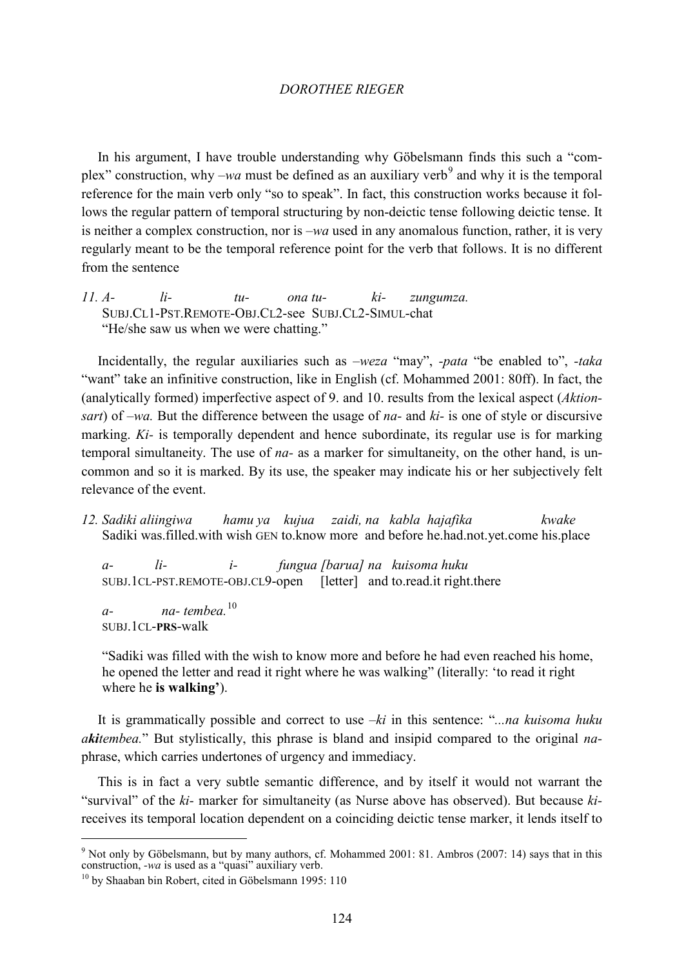In his argument, I have trouble understanding why Göbelsmann finds this such a "complex" construction, why  $-wa$  must be defined as an auxiliary verb<sup>[9](#page-10-0)</sup> and why it is the temporal reference for the main verb only "so to speak". In fact, this construction works because it follows the regular pattern of temporal structuring by non-deictic tense following deictic tense. It is neither a complex construction, nor is *–wa* used in any anomalous function, rather, it is very regularly meant to be the temporal reference point for the verb that follows. It is no different from the sentence

*11. A- li- tu- ona tu- ki- zungumza.* SUBJ.CL1-PST.REMOTE-OBJ.CL2-see SUBJ.CL2-SIMUL-chat. "He/she saw us when we were chatting."

Incidentally, the regular auxiliaries such as *–weza* "may", *-pata* "be enabled to", *-taka*  "want" take an infinitive construction, like in English (cf. Mohammed 2001: 80ff). In fact, the (analytically formed) imperfective aspect of 9. and 10. results from the lexical aspect (*Aktionsart*) of *–wa.* But the difference between the usage of *na-* and *ki-* is one of style or discursive marking. *Ki-* is temporally dependent and hence subordinate, its regular use is for marking temporal simultaneity. The use of *na-* as a marker for simultaneity, on the other hand, is uncommon and so it is marked. By its use, the speaker may indicate his or her subjectively felt relevance of the event.

*12. Sadiki aliingiwa hamu ya kujua zaidi, na kabla hajafika kwake* Sadiki was.filled.with wish GEN to.know more and before he.had.not.yet.come his.place

*a- li- i- fungua [barua] na kuisoma huku* SUBJ.1CL-PST.REMOTE-OBJ.CL9-open [letter] and to.read.it right.there

*a- na- tembea.*[10](#page-10-1) SUBJ.1CL-**PRS**-walk

"Sadiki was filled with the wish to know more and before he had even reached his home, he opened the letter and read it right where he was walking" (literally: 'to read it right where he **is walking'**).

It is grammatically possible and correct to use *–ki* in this sentence: "*...na kuisoma huku akitembea.*" But stylistically, this phrase is bland and insipid compared to the original *na*phrase, which carries undertones of urgency and immediacy.

This is in fact a very subtle semantic difference, and by itself it would not warrant the "survival" of the *ki-* marker for simultaneity (as Nurse above has observed). But because *ki*receives its temporal location dependent on a coinciding deictic tense marker, it lends itself to

<span id="page-10-0"></span><sup>&</sup>lt;sup>9</sup> Not only by Göbelsmann, but by many authors, cf. Mohammed 2001: 81. Ambros (2007: 14) says that in this construction, -wa is used as a "quasi" auxiliary verb.

<span id="page-10-1"></span><sup>&</sup>lt;sup>10</sup> by Shaaban bin Robert, cited in Göbelsmann 1995: 110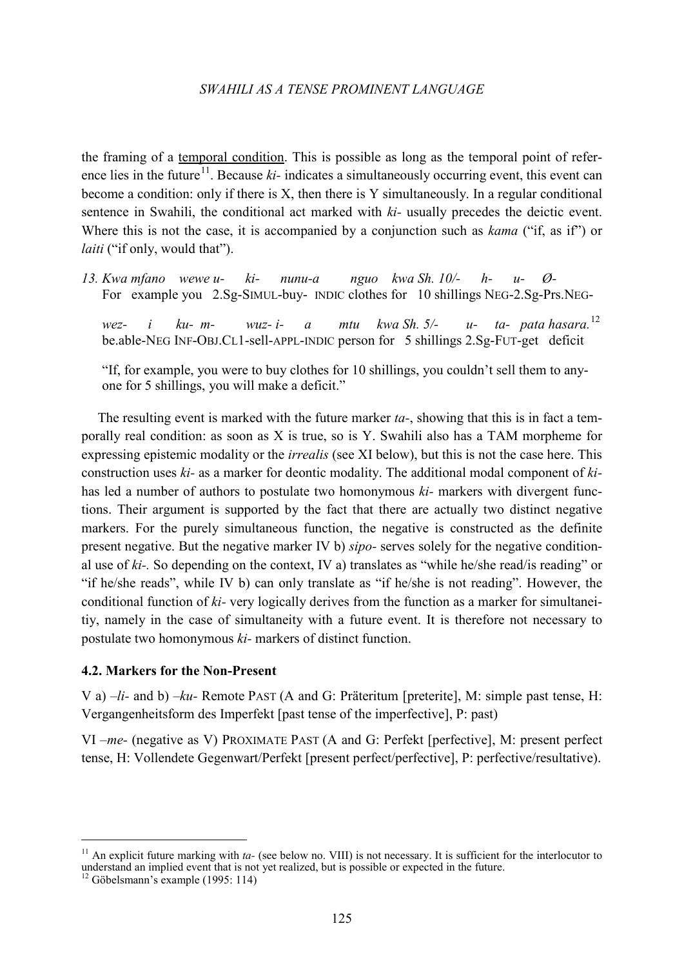the framing of a temporal condition. This is possible as long as the temporal point of refer-ence lies in the future<sup>[11](#page-11-0)</sup>. Because *ki*- indicates a simultaneously occurring event, this event can become a condition: only if there is X, then there is Y simultaneously. In a regular conditional sentence in Swahili, the conditional act marked with *ki-* usually precedes the deictic event. Where this is not the case, it is accompanied by a conjunction such as *kama* ("if, as if") or *laiti* ("if only, would that").

*13. Kwa mfano wewe u- ki- nunu-a nguo kwa Sh. 10/- h- u- Ø-*For example you 2.Sg-SIMUL-buy- INDIC clothes for 10 shillings NEG-2.Sg-Prs.NEG-

*wez- i ku- m- wuz- i- a mtu kwa Sh. 5/- u- ta- pata hasara.*[12](#page-11-1) be.able-NEG INF-OBJ.CL1-sell-APPL-INDIC person for 5 shillings 2.Sg-FUT-get deficit

"If, for example, you were to buy clothes for 10 shillings, you couldn't sell them to anyone for 5 shillings, you will make a deficit."

The resulting event is marked with the future marker *ta-*, showing that this is in fact a temporally real condition: as soon as X is true, so is Y. Swahili also has a TAM morpheme for expressing epistemic modality or the *irrealis* (see XI below), but this is not the case here. This construction uses *ki-* as a marker for deontic modality. The additional modal component of *ki*has led a number of authors to postulate two homonymous *ki-* markers with divergent functions. Their argument is supported by the fact that there are actually two distinct negative markers. For the purely simultaneous function, the negative is constructed as the definite present negative. But the negative marker IV b) *sipo-* serves solely for the negative conditional use of *ki-.* So depending on the context, IV a) translates as "while he/she read/is reading" or "if he/she reads", while IV b) can only translate as "if he/she is not reading". However, the conditional function of *ki-* very logically derives from the function as a marker for simultaneitiy, namely in the case of simultaneity with a future event. It is therefore not necessary to postulate two homonymous *ki-* markers of distinct function.

#### **4.2. Markers for the Non-Present**

V a) *–li-* and b) *–ku-* Remote PAST (A and G: Präteritum [preterite], M: simple past tense, H: Vergangenheitsform des Imperfekt [past tense of the imperfective], P: past)

VI *–me-* (negative as V) PROXIMATE PAST (A and G: Perfekt [perfective], M: present perfect tense, H: Vollendete Gegenwart/Perfekt [present perfect/perfective], P: perfective/resultative).

 <sup>11</sup> An explicit future marking with *ta-* (see below no. VIII) is not necessary. It is sufficient for the interlocutor to understand an implied event that is not yet realized, but is possible or expected in the future.

<span id="page-11-1"></span><span id="page-11-0"></span> $12$  Göbelsmann's example (1995: 114)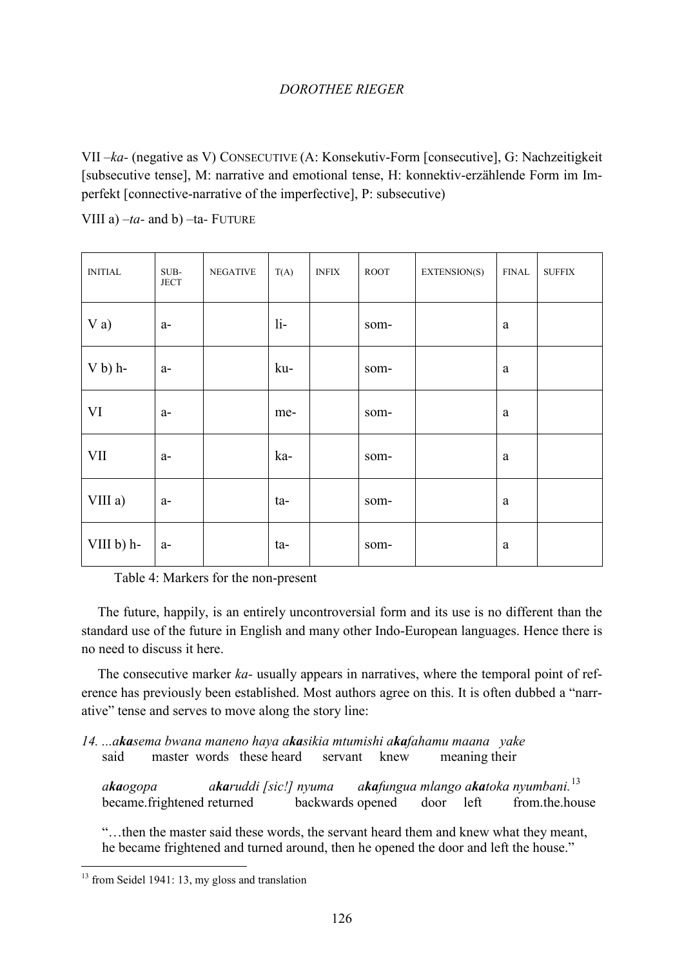VII *–ka-* (negative as V) CONSECUTIVE (A: Konsekutiv-Form [consecutive], G: Nachzeitigkeit [subsecutive tense], M: narrative and emotional tense, H: konnektiv-erzählende Form im Imperfekt [connective-narrative of the imperfective], P: subsecutive)

VIII a) *–ta-* and b) *–*ta*-* FUTURE

| <b>INITIAL</b> | SUB-<br><b>JECT</b> | <b>NEGATIVE</b> | T(A)  | <b>INFIX</b> | ROOT | EXTENSION(S) | <b>FINAL</b> | <b>SUFFIX</b> |
|----------------|---------------------|-----------------|-------|--------------|------|--------------|--------------|---------------|
| $V$ a)         | $a-$                |                 | $li-$ |              | som- |              | $\rm{a}$     |               |
| $V b$ ) h-     | $a-$                |                 | ku-   |              | som- |              | a            |               |
| <b>VI</b>      | $a-$                |                 | me-   |              | som- |              | a            |               |
| <b>VII</b>     | $a-$                |                 | ka-   |              | som- |              | a            |               |
| VIII a)        | $a-$                |                 | ta-   |              | som- |              | a            |               |
| VIII b) h-     | $a-$                |                 | ta-   |              | som- |              | a            |               |

Table 4: Markers for the non-present

The future, happily, is an entirely uncontroversial form and its use is no different than the standard use of the future in English and many other Indo-European languages. Hence there is no need to discuss it here.

The consecutive marker *ka-* usually appears in narratives, where the temporal point of reference has previously been established. Most authors agree on this. It is often dubbed a "narrative" tense and serves to move along the story line:

*14. ...akasema bwana maneno haya akasikia mtumishi akafahamu maana yake*  said master words these heard servant knew meaning their

*akaogopa akaruddi [sic!] nyuma akafungua mlango akatoka nyumbani.*[13](#page-12-0) became.frightened returned backwards opened door left from.the.house

"…then the master said these words, the servant heard them and knew what they meant, he became frightened and turned around, then he opened the door and left the house."

<span id="page-12-0"></span><sup>&</sup>lt;sup>13</sup> from Seidel 1941: 13, my gloss and translation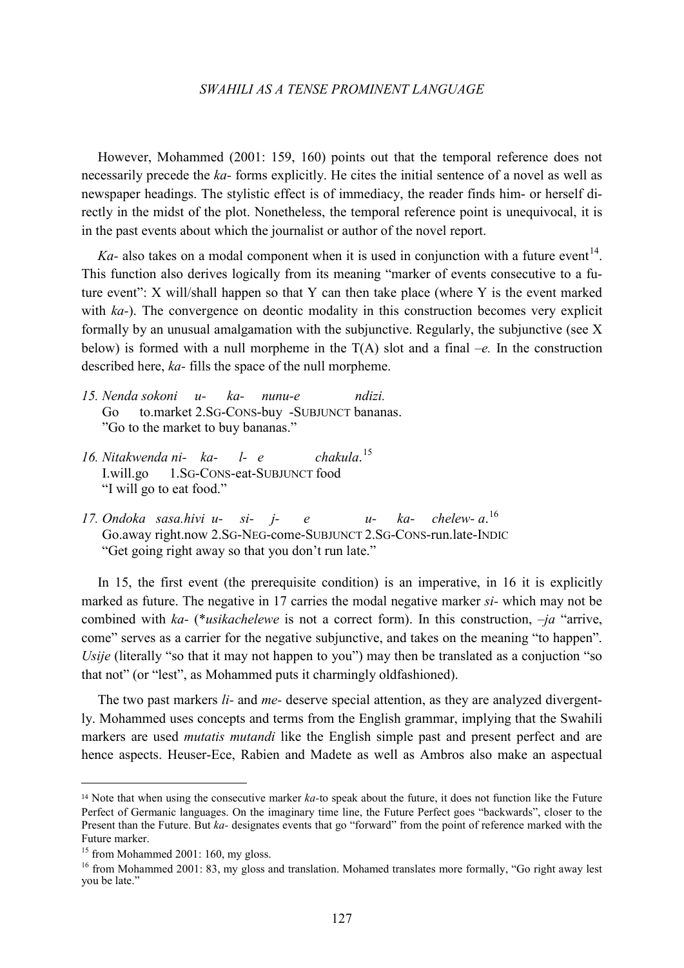However, Mohammed (2001: 159, 160) points out that the temporal reference does not necessarily precede the *ka-* forms explicitly. He cites the initial sentence of a novel as well as newspaper headings. The stylistic effect is of immediacy, the reader finds him- or herself directly in the midst of the plot. Nonetheless, the temporal reference point is unequivocal, it is in the past events about which the journalist or author of the novel report.

 $Ka$ - also takes on a modal component when it is used in conjunction with a future event<sup>[14](#page-13-0)</sup>. This function also derives logically from its meaning "marker of events consecutive to a future event": X will/shall happen so that Y can then take place (where Y is the event marked with *ka*-). The convergence on deontic modality in this construction becomes very explicit formally by an unusual amalgamation with the subjunctive. Regularly, the subjunctive (see X below) is formed with a null morpheme in the  $T(A)$  slot and a final  $-e$ . In the construction described here, *ka-* fills the space of the null morpheme.

- *15. Nenda sokoni u- ka- nunu-e ndizi.* Go to.market 2.SG-CONS-buy -SUBJUNCT bananas. "Go to the market to buy bananas."
- *16. Nitakwenda ni- ka- l- e chakula*.  $chakula.<sup>15</sup>$  $chakula.<sup>15</sup>$  $chakula.<sup>15</sup>$ I.will.go 1.SG-CONS-eat-SUBJUNCT food "I will go to eat food."
- *17. Ondoka sasa.hivi u- si- j- e u- ka- chelew- a*. chelew- $a^{16}$  $a^{16}$  $a^{16}$ Go.away right.now 2.SG-NEG-come-SUBJUNCT 2.SG-CONS-run.late-INDIC "Get going right away so that you don't run late."

In 15, the first event (the prerequisite condition) is an imperative, in 16 it is explicitly marked as future. The negative in 17 carries the modal negative marker *si-* which may not be combined with *ka-* (\**usikachelewe* is not a correct form). In this construction, *–ja* "arrive, come" serves as a carrier for the negative subjunctive, and takes on the meaning "to happen". *Usije* (literally "so that it may not happen to you") may then be translated as a conjuction "so that not" (or "lest", as Mohammed puts it charmingly oldfashioned).

The two past markers *li-* and *me-* deserve special attention, as they are analyzed divergently. Mohammed uses concepts and terms from the English grammar, implying that the Swahili markers are used *mutatis mutandi* like the English simple past and present perfect and are hence aspects. Heuser-Ece, Rabien and Madete as well as Ambros also make an aspectual

-

<span id="page-13-0"></span><sup>14</sup> Note that when using the consecutive marker *ka-*to speak about the future, it does not function like the Future Perfect of Germanic languages. On the imaginary time line, the Future Perfect goes "backwards", closer to the Present than the Future. But *ka-* designates events that go "forward" from the point of reference marked with the Future marker.

 $15$  from Mohammed 2001: 160, my gloss.

<span id="page-13-2"></span><span id="page-13-1"></span><sup>&</sup>lt;sup>16</sup> from Mohammed 2001: 83, my gloss and translation. Mohamed translates more formally, "Go right away lest you be late."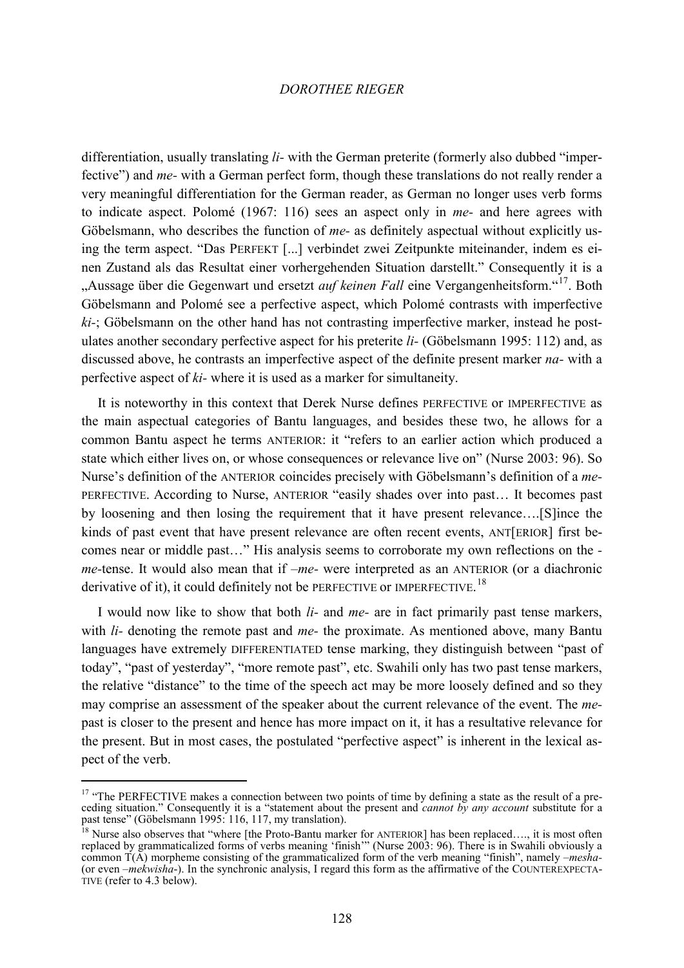differentiation, usually translating *li-* with the German preterite (formerly also dubbed "imperfective") and *me-* with a German perfect form, though these translations do not really render a very meaningful differentiation for the German reader, as German no longer uses verb forms to indicate aspect. Polomé (1967: 116) sees an aspect only in *me-* and here agrees with Göbelsmann, who describes the function of *me-* as definitely aspectual without explicitly using the term aspect. "Das PERFEKT [...] verbindet zwei Zeitpunkte miteinander, indem es einen Zustand als das Resultat einer vorhergehenden Situation darstellt." Consequently it is a "Aussage über die Gegenwart und ersetzt *auf keinen Fall* eine Vergangenheitsform."<sup>[17](#page-14-0)</sup>. Both Göbelsmann and Polomé see a perfective aspect, which Polomé contrasts with imperfective *ki-*; Göbelsmann on the other hand has not contrasting imperfective marker, instead he postulates another secondary perfective aspect for his preterite *li-* (Göbelsmann 1995: 112) and, as discussed above, he contrasts an imperfective aspect of the definite present marker *na-* with a perfective aspect of *ki-* where it is used as a marker for simultaneity.

It is noteworthy in this context that Derek Nurse defines PERFECTIVE or IMPERFECTIVE as the main aspectual categories of Bantu languages, and besides these two, he allows for a common Bantu aspect he terms ANTERIOR: it "refers to an earlier action which produced a state which either lives on, or whose consequences or relevance live on" (Nurse 2003: 96). So Nurse's definition of the ANTERIOR coincides precisely with Göbelsmann's definition of a *me-*PERFECTIVE. According to Nurse, ANTERIOR "easily shades over into past… It becomes past by loosening and then losing the requirement that it have present relevance….[S]ince the kinds of past event that have present relevance are often recent events, ANT[ERIOR] first becomes near or middle past…" His analysis seems to corroborate my own reflections on the  *me-*tense. It would also mean that if *–me-* were interpreted as an ANTERIOR (or a diachronic derivative of it), it could definitely not be PERFECTIVE or IMPERFECTIVE.<sup>[18](#page-14-1)</sup>

I would now like to show that both *li-* and *me-* are in fact primarily past tense markers, with *li-* denoting the remote past and *me-* the proximate. As mentioned above, many Bantu languages have extremely DIFFERENTIATED tense marking, they distinguish between "past of today", "past of yesterday", "more remote past", etc. Swahili only has two past tense markers, the relative "distance" to the time of the speech act may be more loosely defined and so they may comprise an assessment of the speaker about the current relevance of the event. The *me*past is closer to the present and hence has more impact on it, it has a resultative relevance for the present. But in most cases, the postulated "perfective aspect" is inherent in the lexical aspect of the verb.

<span id="page-14-0"></span><sup>&</sup>lt;sup>17</sup> "The PERFECTIVE makes a connection between two points of time by defining a state as the result of a preceding situation." Consequently it is a "statement about the present and *cannot by any account* substitute for a past tense" (Göbelsmann 1995: 116, 117, my translation). past tense" (Göbelsmann 1995: 116, 117, my translation).<br><sup>18</sup> Nurse also observes that "where [the Proto-Bantu marker for ANTERIOR] has been replaced…., it is most often

<span id="page-14-1"></span>replaced by grammaticalized forms of verbs meaning 'finish'" (Nurse 2003: 96). There is in Swahili obviously a common  $\hat{T}(A)$  morpheme consisting of the grammaticalized form of the verb meaning "finish", namely *–mesha*-<br>(or even *–mekwisha*-). In the synchronic analysis, I regard this form as the affirmative of the COUNTEREXPECT TIVE (refer to 4.3 below).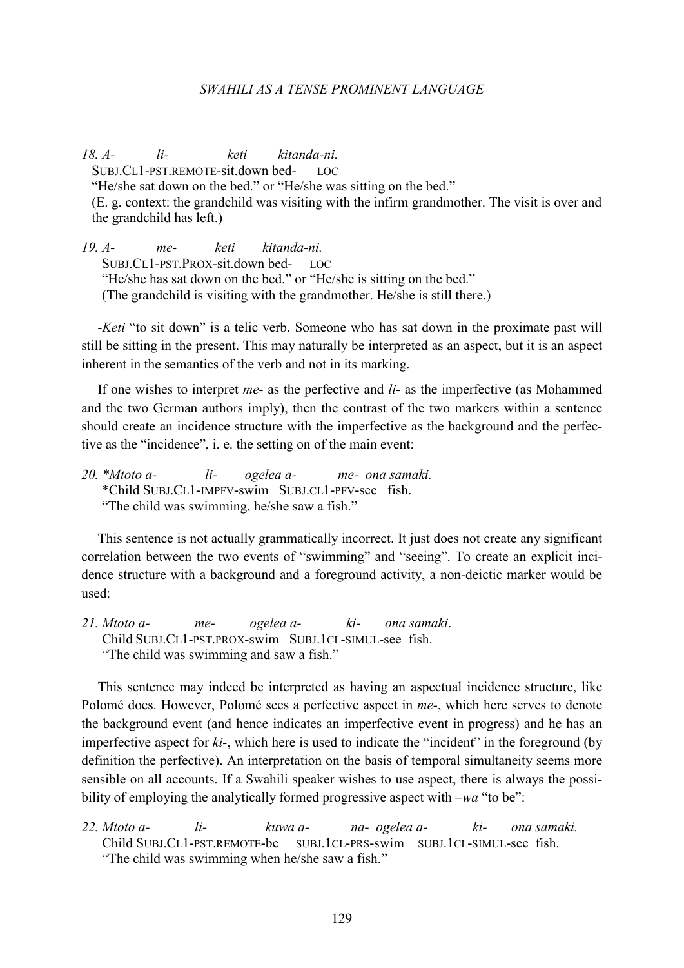*18. A- li- keti kitanda-ni.* 

SUBJ.CL1-PST.REMOTE-sit.down bed- LOC

"He/she sat down on the bed." or "He/she was sitting on the bed."

(E. g. context: the grandchild was visiting with the infirm grandmother. The visit is over and the grandchild has left.)

*19. A- me- keti kitanda-ni.* SUBJ.CL1-PST.PROX-sit.down bed- LOC "He/she has sat down on the bed." or "He/she is sitting on the bed." (The grandchild is visiting with the grandmother. He/she is still there.)

*-Keti* "to sit down" is a telic verb. Someone who has sat down in the proximate past will still be sitting in the present. This may naturally be interpreted as an aspect, but it is an aspect inherent in the semantics of the verb and not in its marking.

If one wishes to interpret *me-* as the perfective and *li-* as the imperfective (as Mohammed and the two German authors imply), then the contrast of the two markers within a sentence should create an incidence structure with the imperfective as the background and the perfective as the "incidence", i. e. the setting on of the main event:

*20. \*Mtoto a- li- ogelea a- me- ona samaki.* \*Child SUBJ.CL1-IMPFV-swim SUBJ.CL1-PFV-see fish. "The child was swimming, he/she saw a fish."

This sentence is not actually grammatically incorrect. It just does not create any significant correlation between the two events of "swimming" and "seeing". To create an explicit incidence structure with a background and a foreground activity, a non-deictic marker would be used:

*21. Mtoto a- me- ogelea a- ki- ona samaki*. Child SUBJ.CL1-PST.PROX-swim SUBJ.1CL-SIMUL-see fish. "The child was swimming and saw a fish."

This sentence may indeed be interpreted as having an aspectual incidence structure, like Polomé does. However, Polomé sees a perfective aspect in *me-*, which here serves to denote the background event (and hence indicates an imperfective event in progress) and he has an imperfective aspect for *ki-*, which here is used to indicate the "incident" in the foreground (by definition the perfective). An interpretation on the basis of temporal simultaneity seems more sensible on all accounts. If a Swahili speaker wishes to use aspect, there is always the possibility of employing the analytically formed progressive aspect with *–wa* "to be":

*22. Mtoto a- li- kuwa a- na- ogelea a- ki- ona samaki.*  Child SUBJ.CL1-PST.REMOTE-be SUBJ.1CL-PRS-swim SUBJ.1CL-SIMUL-see fish. "The child was swimming when he/she saw a fish."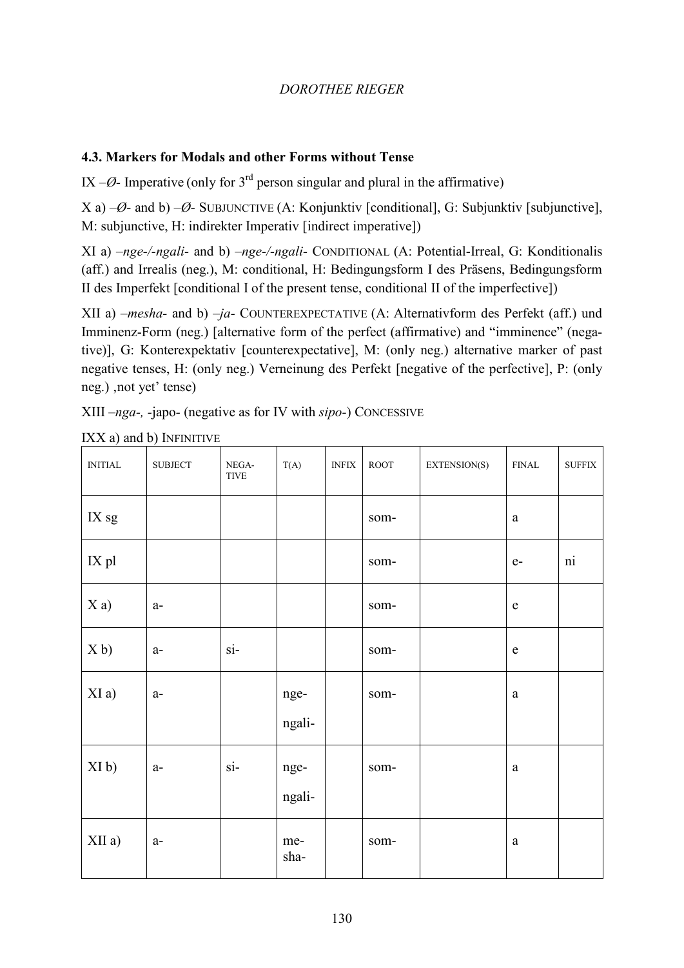# **4.3. Markers for Modals and other Forms without Tense**

IX  $-\varnothing$ - Imperative (only for 3<sup>rd</sup> person singular and plural in the affirmative)

X a) *–Ø-* and b) *–Ø-* SUBJUNCTIVE (A: Konjunktiv [conditional], G: Subjunktiv [subjunctive], M: subjunctive, H: indirekter Imperativ [indirect imperative])

XI a) *–nge-/-ngali-* and b) *–nge-/-ngali-* CONDITIONAL (A: Potential-Irreal, G: Konditionalis (aff.) and Irrealis (neg.), M: conditional, H: Bedingungsform I des Präsens, Bedingungsform II des Imperfekt [conditional I of the present tense, conditional II of the imperfective])

XII a) *–mesha-* and b) *–ja-* COUNTEREXPECTATIVE (A: Alternativform des Perfekt (aff.) und Imminenz-Form (neg.) [alternative form of the perfect (affirmative) and "imminence" (negative)], G: Konterexpektativ [counterexpectative], M: (only neg.) alternative marker of past negative tenses, H: (only neg.) Verneinung des Perfekt [negative of the perfective], P: (only neg.), not yet' tense)

XIII *–nga-, -*japo*-* (negative as for IV with *sipo-*) CONCESSIVE

| $\text{INITIAL}$  | <b>SUBJECT</b> | NEGA-<br>$\tt{TIVE}$   | T(A)           | $\operatorname{INFIX}$ | $\,$ ROOT | EXTENSION(S) | ${\rm FINAL}$ | ${\rm {\bf SUFFIX}}$ |
|-------------------|----------------|------------------------|----------------|------------------------|-----------|--------------|---------------|----------------------|
| IX sg             |                |                        |                |                        | som-      |              | $\mathbf{a}$  |                      |
| IX pl             |                |                        |                |                        | som-      |              | $e-$          | $\overline{ni}$      |
| Xa)               | $a-$           |                        |                |                        | som-      |              | ${\bf e}$     |                      |
| X <sub>b</sub>    | $a-$           | $\overline{\text{si}}$ |                |                        | som-      |              | ${\bf e}$     |                      |
| XI a)             | $a-$           |                        | nge-<br>ngali- |                        | som-      |              | $\mathbf{a}$  |                      |
| XI <sub>b</sub> ) | $a-$           | $\overline{\text{si}}$ | nge-<br>ngali- |                        | som-      |              | $\rm{a}$      |                      |
| XII a)            | $a-$           |                        | me-<br>sha-    |                        | som-      |              | $\rm{a}$      |                      |

 $IXX$  a) and b) INFINITIVE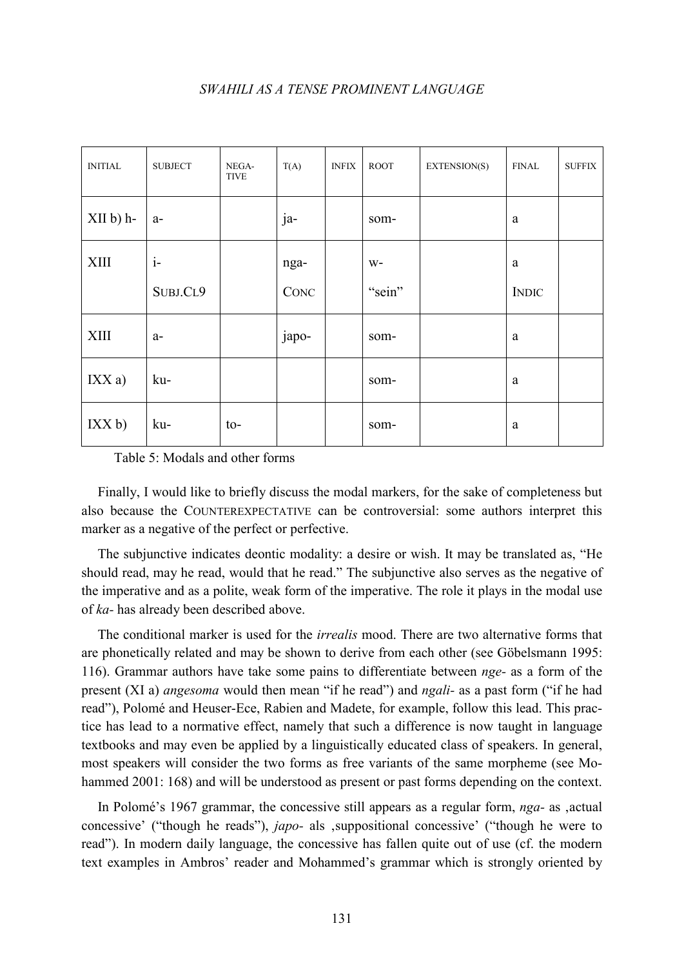| <b>INITIAL</b> | <b>SUBJECT</b> | NEGA-<br><b>TIVE</b>    | T(A)  | <b>INFIX</b> | <b>ROOT</b> | EXTENSION(S) | <b>FINAL</b> | ${\rm {\bf SUFFIX}}$ |
|----------------|----------------|-------------------------|-------|--------------|-------------|--------------|--------------|----------------------|
| $XII b) h-$    | $a-$           |                         | ja-   |              | som-        |              | a            |                      |
| XIII           | $i-$           |                         | nga-  |              | $W-$        |              | a            |                      |
|                | SUBJ.CL9       |                         | CONC  |              | "sein"      |              | <b>INDIC</b> |                      |
| <b>XIII</b>    | $a-$           |                         | japo- |              | som-        |              | a            |                      |
| IXXa)          | ku-            |                         |       |              | som-        |              | a            |                      |
| IXX b)         | ku-            | $\mathsf{to}\mathsf{-}$ |       |              | som-        |              | a            |                      |

Table 5: Modals and other forms

Finally, I would like to briefly discuss the modal markers, for the sake of completeness but also because the COUNTEREXPECTATIVE can be controversial: some authors interpret this marker as a negative of the perfect or perfective.

The subjunctive indicates deontic modality: a desire or wish. It may be translated as, "He should read, may he read, would that he read." The subjunctive also serves as the negative of the imperative and as a polite, weak form of the imperative. The role it plays in the modal use of *ka-* has already been described above.

The conditional marker is used for the *irrealis* mood. There are two alternative forms that are phonetically related and may be shown to derive from each other (see Göbelsmann 1995: 116). Grammar authors have take some pains to differentiate between *nge-* as a form of the present (XI a) *angesoma* would then mean "if he read") and *ngali-* as a past form ("if he had read"), Polomé and Heuser-Ece, Rabien and Madete, for example, follow this lead. This practice has lead to a normative effect, namely that such a difference is now taught in language textbooks and may even be applied by a linguistically educated class of speakers. In general, most speakers will consider the two forms as free variants of the same morpheme (see Mohammed 2001: 168) and will be understood as present or past forms depending on the context.

In Polomé's 1967 grammar, the concessive still appears as a regular form, *nga*- as , actual concessive' ("though he reads"), *japo-* als 'suppositional concessive' ("though he were to read"). In modern daily language, the concessive has fallen quite out of use (cf. the modern text examples in Ambros' reader and Mohammed's grammar which is strongly oriented by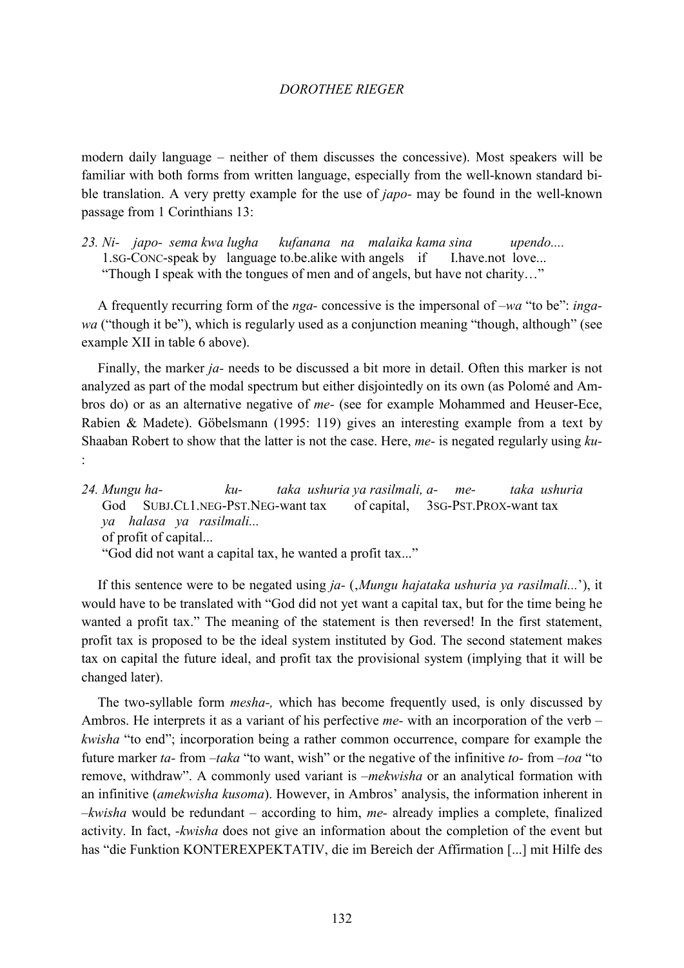modern daily language – neither of them discusses the concessive). Most speakers will be familiar with both forms from written language, especially from the well-known standard bible translation. A very pretty example for the use of *japo-* may be found in the well-known passage from 1 Corinthians 13:

*23. Ni- japo- sema kwa lugha kufanana na malaika kama sina upendo....*  1.SG-CONC-speak by language to.be.alike with angels if I.have.not love... "Though I speak with the tongues of men and of angels, but have not charity…"

A frequently recurring form of the *nga-* concessive is the impersonal of *–wa* "to be": *ingawa* ("though it be"), which is regularly used as a conjunction meaning "though, although" (see example XII in table 6 above).

Finally, the marker *ja-* needs to be discussed a bit more in detail. Often this marker is not analyzed as part of the modal spectrum but either disjointedly on its own (as Polomé and Ambros do) or as an alternative negative of *me-* (see for example Mohammed and Heuser-Ece, Rabien & Madete). Göbelsmann (1995: 119) gives an interesting example from a text by Shaaban Robert to show that the latter is not the case. Here, *me-* is negated regularly using *ku-* :

*24. Mungu ha- ku- taka ushuria ya rasilmali, a- me- taka ushuria*  God SUBJ.CL1.NEG-PST.NEG-want tax of capital, 3SG-PST.PROX-want tax *ya halasa ya rasilmali...* of profit of capital... "God did not want a capital tax, he wanted a profit tax..."

If this sentence were to be negated using *ja-* ('*Mungu hajataka ushuria ya rasilmali...*'), it would have to be translated with "God did not yet want a capital tax, but for the time being he wanted a profit tax." The meaning of the statement is then reversed! In the first statement, profit tax is proposed to be the ideal system instituted by God. The second statement makes tax on capital the future ideal, and profit tax the provisional system (implying that it will be changed later).

The two-syllable form *mesha-,* which has become frequently used, is only discussed by Ambros. He interprets it as a variant of his perfective *me-* with an incorporation of the verb *– kwisha* "to end"; incorporation being a rather common occurrence, compare for example the future marker *ta-* from *–taka* "to want, wish" or the negative of the infinitive *to-* from *–toa* "to remove, withdraw". A commonly used variant is *–mekwisha* or an analytical formation with an infinitive (*amekwisha kusoma*). However, in Ambros' analysis, the information inherent in *–kwisha* would be redundant – according to him, *me-* already implies a complete, finalized activity. In fact, *-kwisha* does not give an information about the completion of the event but has "die Funktion KONTEREXPEKTATIV, die im Bereich der Affirmation [...] mit Hilfe des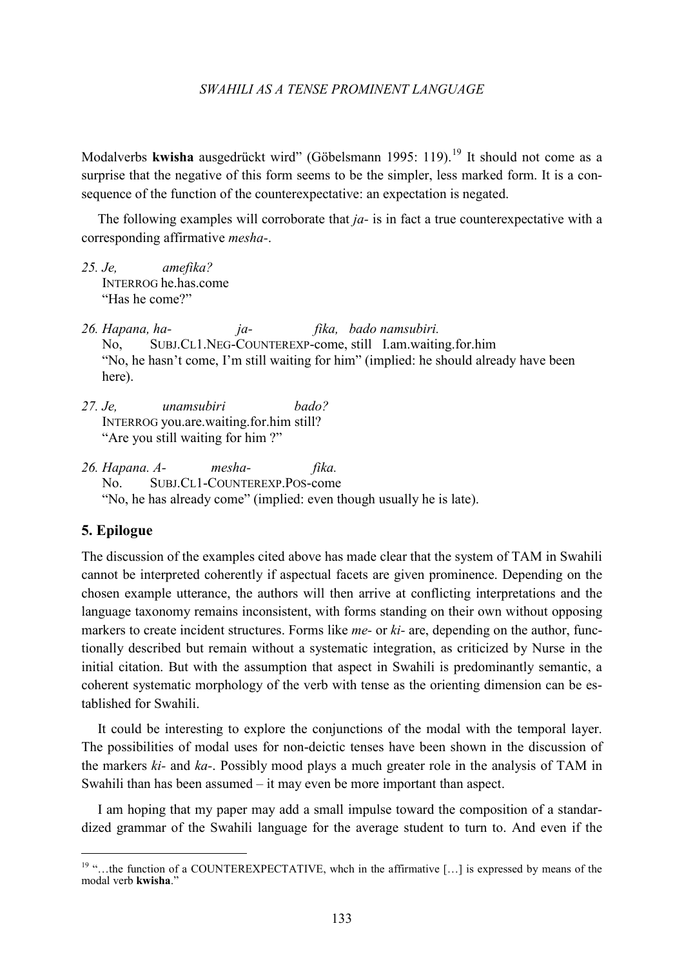Modalverbs **kwisha** ausgedrückt wird" (Göbelsmann 1995: 119). [19](#page-19-0) It should not come as a surprise that the negative of this form seems to be the simpler, less marked form. It is a consequence of the function of the counterexpectative: an expectation is negated.

The following examples will corroborate that *ja-* is in fact a true counterexpectative with a corresponding affirmative *mesha-*.

- *25. Je, amefika?* INTERROG he.has.come "Has he come?"
- *26. Hapana, ha- ja- fika, bado namsubiri.* No, SUBJ.CL1.NEG-COUNTEREXP-come, still I.am.waiting.for.him "No, he hasn't come, I'm still waiting for him" (implied: he should already have been here).
- *27. Je, unamsubiri bado?* INTERROG you.are.waiting.for.him still? "Are you still waiting for him ?"

*26. Hapana. A- mesha- fika.* No. SUBJ.CL1-COUNTEREXP.POS-come "No, he has already come" (implied: even though usually he is late).

## **5. Epilogue**

The discussion of the examples cited above has made clear that the system of TAM in Swahili cannot be interpreted coherently if aspectual facets are given prominence. Depending on the chosen example utterance, the authors will then arrive at conflicting interpretations and the language taxonomy remains inconsistent, with forms standing on their own without opposing markers to create incident structures. Forms like *me-* or *ki-* are, depending on the author, functionally described but remain without a systematic integration, as criticized by Nurse in the initial citation. But with the assumption that aspect in Swahili is predominantly semantic, a coherent systematic morphology of the verb with tense as the orienting dimension can be established for Swahili.

It could be interesting to explore the conjunctions of the modal with the temporal layer. The possibilities of modal uses for non-deictic tenses have been shown in the discussion of the markers *ki-* and *ka-*. Possibly mood plays a much greater role in the analysis of TAM in Swahili than has been assumed – it may even be more important than aspect.

I am hoping that my paper may add a small impulse toward the composition of a standardized grammar of the Swahili language for the average student to turn to. And even if the

<span id="page-19-0"></span><sup>&</sup>lt;sup>19</sup> "... the function of a COUNTEREXPECTATIVE, whch in the affirmative [...] is expressed by means of the modal verb **kwisha**."